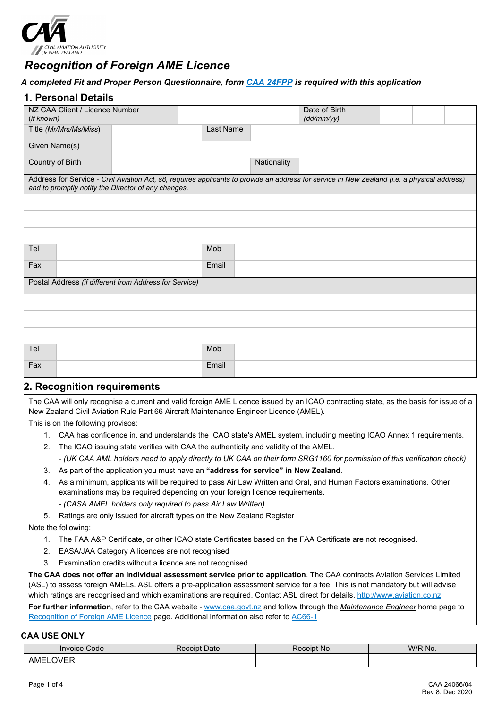

# *Recognition of Foreign AME Licence*

#### *A completed Fit and Proper Person Questionnaire, form [CAA 24FPP](http://www.caa.govt.nz/forms/24FPP.pdf) is required with this application*

#### **1. Personal Details**

| NZ CAA Client / Licence Number<br>(if known)           |           |             | Date of Birth<br>(dd/mm/yy)                                                                                                                  |  |
|--------------------------------------------------------|-----------|-------------|----------------------------------------------------------------------------------------------------------------------------------------------|--|
| Title (Mr/Mrs/Ms/Miss)                                 | Last Name |             |                                                                                                                                              |  |
| Given Name(s)                                          |           |             |                                                                                                                                              |  |
| Country of Birth                                       |           | Nationality |                                                                                                                                              |  |
| and to promptly notify the Director of any changes.    |           |             | Address for Service - Civil Aviation Act, s8, requires applicants to provide an address for service in New Zealand (i.e. a physical address) |  |
|                                                        |           |             |                                                                                                                                              |  |
|                                                        |           |             |                                                                                                                                              |  |
|                                                        |           |             |                                                                                                                                              |  |
| Tel                                                    | Mob       |             |                                                                                                                                              |  |
| Fax                                                    | Email     |             |                                                                                                                                              |  |
| Postal Address (if different from Address for Service) |           |             |                                                                                                                                              |  |
|                                                        |           |             |                                                                                                                                              |  |
|                                                        |           |             |                                                                                                                                              |  |
|                                                        |           |             |                                                                                                                                              |  |
| Tel                                                    | Mob       |             |                                                                                                                                              |  |
| Fax                                                    | Email     |             |                                                                                                                                              |  |

#### **2. Recognition requirements**

The CAA will only recognise a current and valid foreign AME Licence issued by an ICAO contracting state, as the basis for issue of a New Zealand Civil Aviation Rule Part 66 Aircraft Maintenance Engineer Licence (AMEL).

This is on the following provisos:

- 1. CAA has confidence in, and understands the ICAO state's AMEL system, including meeting ICAO Annex 1 requirements.
- 2. The ICAO issuing state verifies with CAA the authenticity and validity of the AMEL.

*- (UK CAA AML holders need to apply directly to UK CAA on their form SRG1160 for permission of this verification check)*

- 3. As part of the application you must have an **"address for service" in New Zealand**.
- 4. As a minimum, applicants will be required to pass Air Law Written and Oral, and Human Factors examinations. Other examinations may be required depending on your foreign licence requirements.
	- *- (CASA AMEL holders only required to pass Air Law Written).*
- 5. Ratings are only issued for aircraft types on the New Zealand Register

Note the following:

- 1. The FAA A&P Certificate, or other ICAO state Certificates based on the FAA Certificate are not recognised.
- 2. EASA/JAA Category A licences are not recognised
- 3. Examination credits without a licence are not recognised.

**The CAA does not offer an individual assessment service prior to application**. The CAA contracts Aviation Services Limited (ASL) to assess foreign AMELs. ASL offers a pre-application assessment service for a fee. This is not mandatory but will advise which ratings are recognised and which examinations are required. Contact ASL direct for details[. http://www.aviation.co.nz](http://www.aviation.co.nz/)

**For further information**, refer to the CAA website - [www.caa.govt.nz](http://www.caa.govt.nz/) and follow through the *Maintenance Engineer* home page to [Recognition of Foreign AME Licence](http://www.caa.govt.nz/maintenance/recog_foreign_ame.htm) page. Additional information also refer t[o AC66-1](http://www.caa.govt.nz/Advisory_Circulars/AC66_1.pdf)

#### **CAA USE ONLY**

| Invoice Code          | Date<br>⊀eceıpt | Receipt No. | W/R No. |  |  |
|-----------------------|-----------------|-------------|---------|--|--|
| $\sim$<br>AME<br>ハハトド |                 |             |         |  |  |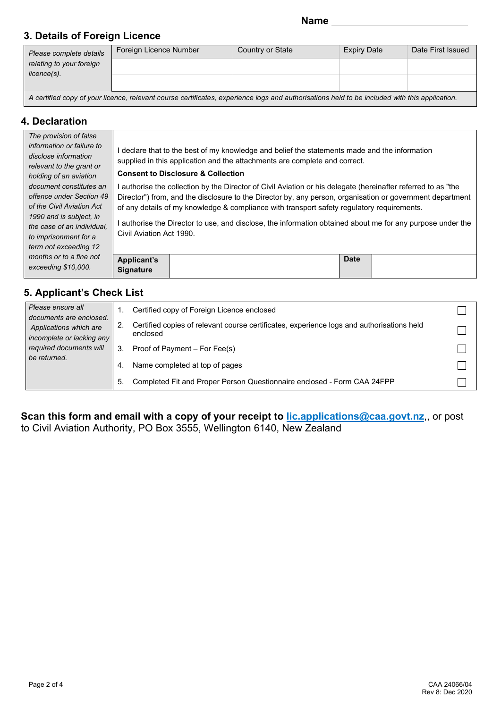### **3. Details of Foreign Licence**

| Please complete details<br>relating to your foreign                                                                                           | Foreign Licence Number | Country or State | <b>Expiry Date</b> | Date First Issued |  |  |  |  |  |  |
|-----------------------------------------------------------------------------------------------------------------------------------------------|------------------------|------------------|--------------------|-------------------|--|--|--|--|--|--|
|                                                                                                                                               |                        |                  |                    |                   |  |  |  |  |  |  |
| $licence(s)$ .                                                                                                                                |                        |                  |                    |                   |  |  |  |  |  |  |
| A certified copy of your licence, relevant course certificates, experience logs and authorisations held to be included with this application. |                        |                  |                    |                   |  |  |  |  |  |  |

### **4. Declaration**

| The provision of false<br>information or failure to<br>disclose information<br>relevant to the grant or                                                                                     | I declare that to the best of my knowledge and belief the statements made and the information<br>supplied in this application and the attachments are complete and correct.                                                                                                                                                                                                                                                                                      |  |  |  |  |  |  |  |
|---------------------------------------------------------------------------------------------------------------------------------------------------------------------------------------------|------------------------------------------------------------------------------------------------------------------------------------------------------------------------------------------------------------------------------------------------------------------------------------------------------------------------------------------------------------------------------------------------------------------------------------------------------------------|--|--|--|--|--|--|--|
| holding of an aviation                                                                                                                                                                      | <b>Consent to Disclosure &amp; Collection</b>                                                                                                                                                                                                                                                                                                                                                                                                                    |  |  |  |  |  |  |  |
| document constitutes an<br>offence under Section 49<br>of the Civil Aviation Act<br>1990 and is subject, in<br>the case of an individual.<br>to imprisonment for a<br>term not exceeding 12 | l authorise the collection by the Director of Civil Aviation or his delegate (hereinafter referred to as "the<br>Director") from, and the disclosure to the Director by, any person, organisation or government department<br>of any details of my knowledge & compliance with transport safety regulatory requirements.<br>authorise the Director to use, and disclose, the information obtained about me for any purpose under the<br>Civil Aviation Act 1990. |  |  |  |  |  |  |  |
| months or to a fine not<br>exceeding \$10,000.                                                                                                                                              | <b>Date</b><br><b>Applicant's</b><br><b>Signature</b>                                                                                                                                                                                                                                                                                                                                                                                                            |  |  |  |  |  |  |  |

### **5. Applicant's Check List**

| Please ensure all<br>documents are enclosed.<br>Applications which are<br>incomplete or lacking any |                         | Certified copy of Foreign Licence enclosed                                                            |                                                                         |  |
|-----------------------------------------------------------------------------------------------------|-------------------------|-------------------------------------------------------------------------------------------------------|-------------------------------------------------------------------------|--|
|                                                                                                     | 2.                      | Certified copies of relevant course certificates, experience logs and authorisations held<br>enclosed |                                                                         |  |
|                                                                                                     | required documents will | 3.                                                                                                    | Proof of Payment - For Fee(s)                                           |  |
| be returned.                                                                                        | 4.                      | Name completed at top of pages                                                                        |                                                                         |  |
|                                                                                                     |                         | 5.                                                                                                    | Completed Fit and Proper Person Questionnaire enclosed - Form CAA 24FPP |  |

**Scan this form and email with a copy of your receipt to [lic.applications@caa.govt.nz](mailto:lic.applications@caa.govt.nz)**,, or post to Civil Aviation Authority, PO Box 3555, Wellington 6140, New Zealand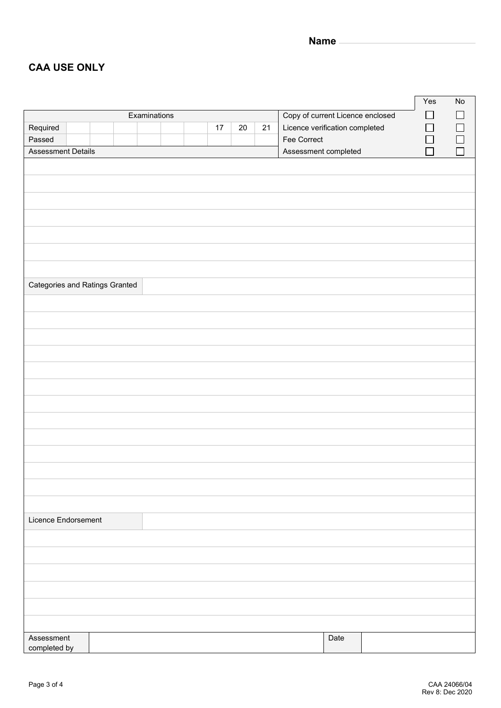**Name**

### **CAA USE ONLY**

|                                                   |  |  |  |  |  |  |    |                                  |    | Yes                            | No     |                |        |        |
|---------------------------------------------------|--|--|--|--|--|--|----|----------------------------------|----|--------------------------------|--------|----------------|--------|--------|
| Examinations                                      |  |  |  |  |  |  |    | Copy of current Licence enclosed |    |                                | ΙI     | $\blacksquare$ |        |        |
| Required                                          |  |  |  |  |  |  | 17 | $20\,$                           | 21 | Licence verification completed |        |                | $\Box$ | $\Box$ |
| Passed                                            |  |  |  |  |  |  |    |                                  |    | Fee Correct                    |        |                | $\Box$ |        |
| <b>Assessment Details</b><br>Assessment completed |  |  |  |  |  |  |    |                                  |    | П                              | $\Box$ |                |        |        |
|                                                   |  |  |  |  |  |  |    |                                  |    |                                |        |                |        |        |
|                                                   |  |  |  |  |  |  |    |                                  |    |                                |        |                |        |        |
|                                                   |  |  |  |  |  |  |    |                                  |    |                                |        |                |        |        |
|                                                   |  |  |  |  |  |  |    |                                  |    |                                |        |                |        |        |
|                                                   |  |  |  |  |  |  |    |                                  |    |                                |        |                |        |        |
|                                                   |  |  |  |  |  |  |    |                                  |    |                                |        |                |        |        |
|                                                   |  |  |  |  |  |  |    |                                  |    |                                |        |                |        |        |
|                                                   |  |  |  |  |  |  |    |                                  |    |                                |        |                |        |        |
| <b>Categories and Ratings Granted</b>             |  |  |  |  |  |  |    |                                  |    |                                |        |                |        |        |
|                                                   |  |  |  |  |  |  |    |                                  |    |                                |        |                |        |        |
|                                                   |  |  |  |  |  |  |    |                                  |    |                                |        |                |        |        |
|                                                   |  |  |  |  |  |  |    |                                  |    |                                |        |                |        |        |
|                                                   |  |  |  |  |  |  |    |                                  |    |                                |        |                |        |        |
|                                                   |  |  |  |  |  |  |    |                                  |    |                                |        |                |        |        |
|                                                   |  |  |  |  |  |  |    |                                  |    |                                |        |                |        |        |
|                                                   |  |  |  |  |  |  |    |                                  |    |                                |        |                |        |        |
|                                                   |  |  |  |  |  |  |    |                                  |    |                                |        |                |        |        |
|                                                   |  |  |  |  |  |  |    |                                  |    |                                |        |                |        |        |
|                                                   |  |  |  |  |  |  |    |                                  |    |                                |        |                |        |        |
|                                                   |  |  |  |  |  |  |    |                                  |    |                                |        |                |        |        |
|                                                   |  |  |  |  |  |  |    |                                  |    |                                |        |                |        |        |
| Licence Endorsement                               |  |  |  |  |  |  |    |                                  |    |                                |        |                |        |        |
|                                                   |  |  |  |  |  |  |    |                                  |    |                                |        |                |        |        |
|                                                   |  |  |  |  |  |  |    |                                  |    |                                |        |                |        |        |
|                                                   |  |  |  |  |  |  |    |                                  |    |                                |        |                |        |        |
|                                                   |  |  |  |  |  |  |    |                                  |    |                                |        |                |        |        |
|                                                   |  |  |  |  |  |  |    |                                  |    |                                |        |                |        |        |
|                                                   |  |  |  |  |  |  |    |                                  |    |                                |        |                |        |        |
| Assessment                                        |  |  |  |  |  |  |    |                                  |    |                                | Date   |                |        |        |
| completed by                                      |  |  |  |  |  |  |    |                                  |    |                                |        |                |        |        |